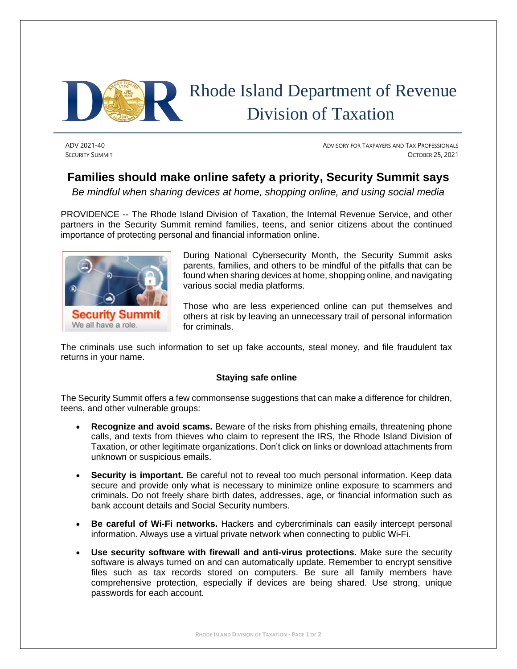

# Rhode Island Department of Revenue Division of Taxation

ADV 2021-40 ADVISORY FOR TAXPAYERS AND TAX PROFESSIONALS **SECURITY SUMMIT OCTOBER 25, 2021** 

## **Families should make online safety a priority, Security Summit says**

*Be mindful when sharing devices at home, shopping online, and using social media*

PROVIDENCE -- The Rhode Island Division of Taxation, the Internal Revenue Service, and other partners in the Security Summit remind families, teens, and senior citizens about the continued importance of protecting personal and financial information online.



During National Cybersecurity Month, the Security Summit asks parents, families, and others to be mindful of the pitfalls that can be found when sharing devices at home, shopping online, and navigating various social media platforms.

Those who are less experienced online can put themselves and others at risk by leaving an unnecessary trail of personal information for criminals.

The criminals use such information to set up fake accounts, steal money, and file fraudulent tax returns in your name.

### **Staying safe online**

The Security Summit offers a few commonsense suggestions that can make a difference for children, teens, and other vulnerable groups:

- **Recognize and avoid scams.** Beware of the risks from phishing emails, threatening phone calls, and texts from thieves who claim to represent the IRS, the Rhode Island Division of Taxation, or other legitimate organizations. Don't click on links or download attachments from unknown or suspicious emails.
- **Security is important.** Be careful not to reveal too much personal information. Keep data secure and provide only what is necessary to minimize online exposure to scammers and criminals. Do not freely share birth dates, addresses, age, or financial information such as bank account details and Social Security numbers.
- **Be careful of Wi-Fi networks.** Hackers and cybercriminals can easily intercept personal information. Always use a virtual private network when connecting to public Wi-Fi.
- **Use security software with firewall and anti-virus protections.** Make sure the security software is always turned on and can automatically update. Remember to encrypt sensitive files such as tax records stored on computers. Be sure all family members have comprehensive protection, especially if devices are being shared. Use strong, unique passwords for each account.